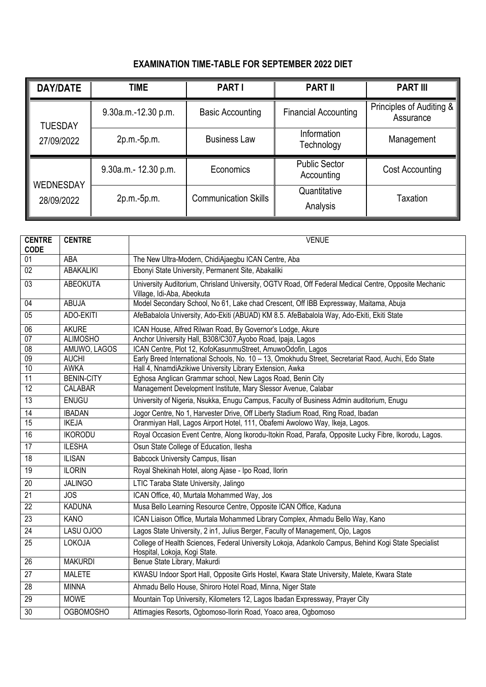## **EXAMINATION TIME-TABLE FOR SEPTEMBER 2022 DIET**

| <b>DAY/DATE</b>                | <b>TIME</b>           | <b>PART I</b>               | <b>PART II</b>                     | <b>PART III</b>                       |
|--------------------------------|-----------------------|-----------------------------|------------------------------------|---------------------------------------|
| <b>TUESDAY</b><br>27/09/2022   | 9.30a.m.-12.30 p.m.   | <b>Basic Accounting</b>     | <b>Financial Accounting</b>        | Principles of Auditing &<br>Assurance |
|                                | 2p.m.-5p.m.           | <b>Business Law</b>         | Information<br>Technology          | Management                            |
| <b>WEDNESDAY</b><br>28/09/2022 | 9.30a.m. - 12.30 p.m. | Economics                   | <b>Public Sector</b><br>Accounting | Cost Accounting                       |
|                                | 2p.m.-5p.m.           | <b>Communication Skills</b> | Quantitative<br>Analysis           | Taxation                              |

| <b>CENTRE</b><br><b>CODE</b> | <b>CENTRE</b>     | <b>VENUE</b>                                                                                                                          |  |
|------------------------------|-------------------|---------------------------------------------------------------------------------------------------------------------------------------|--|
| 01                           | <b>ABA</b>        | The New Ultra-Modern, ChidiAjaegbu ICAN Centre, Aba                                                                                   |  |
| 02                           | <b>ABAKALIKI</b>  | Ebonyi State University, Permanent Site, Abakaliki                                                                                    |  |
| $\overline{03}$              | <b>ABEOKUTA</b>   | University Auditorium, Chrisland University, OGTV Road, Off Federal Medical Centre, Opposite Mechanic<br>Village, Idi-Aba, Abeokuta   |  |
| 04                           | <b>ABUJA</b>      | Model Secondary School, No 61, Lake chad Crescent, Off IBB Expressway, Maitama, Abuja                                                 |  |
| 05                           | ADO-EKITI         | AfeBabalola University, Ado-Ekiti (ABUAD) KM 8.5. AfeBabalola Way, Ado-Ekiti, Ekiti State                                             |  |
| 06                           | <b>AKURE</b>      | ICAN House, Alfred Rilwan Road, By Governor's Lodge, Akure                                                                            |  |
| $\overline{07}$              | <b>ALIMOSHO</b>   | Anchor University Hall, B308/C307, Ayobo Road, Ipaja, Lagos                                                                           |  |
| 08                           | AMUWO, LAGOS      | ICAN Centre, Plot 12, KofoKasunmuStreet, AmuwoOdofin, Lagos                                                                           |  |
| 09                           | <b>AUCHI</b>      | Early Breed International Schools, No. 10 - 13, Omokhudu Street, Secretariat Raod, Auchi, Edo State                                   |  |
| 10                           | <b>AWKA</b>       | Hall 4, NnamdiAzikiwe University Library Extension, Awka                                                                              |  |
| 11                           | <b>BENIN-CITY</b> | Eghosa Anglican Grammar school, New Lagos Road, Benin City                                                                            |  |
| $\overline{12}$              | CALABAR           | Management Development Institute, Mary Slessor Avenue, Calabar                                                                        |  |
| $\overline{13}$              | <b>ENUGU</b>      | University of Nigeria, Nsukka, Enugu Campus, Faculty of Business Admin auditorium, Enugu                                              |  |
| 14                           | <b>IBADAN</b>     | Jogor Centre, No 1, Harvester Drive, Off Liberty Stadium Road, Ring Road, Ibadan                                                      |  |
| $\overline{15}$              | <b>IKEJA</b>      | Oranmiyan Hall, Lagos Airport Hotel, 111, Obafemi Awolowo Way, Ikeja, Lagos.                                                          |  |
| 16                           | <b>IKORODU</b>    | Royal Occasion Event Centre, Along Ikorodu-Itokin Road, Parafa, Opposite Lucky Fibre, Ikorodu, Lagos.                                 |  |
| 17                           | <b>ILESHA</b>     | Osun State College of Education, Ilesha                                                                                               |  |
| $\overline{18}$              | <b>ILISAN</b>     | <b>Babcock University Campus, Ilisan</b>                                                                                              |  |
| 19                           | <b>ILORIN</b>     | Royal Shekinah Hotel, along Ajase - Ipo Road, Ilorin                                                                                  |  |
| $\overline{20}$              | <b>JALINGO</b>    | LTIC Taraba State University, Jalingo                                                                                                 |  |
| 21                           | <b>JOS</b>        | ICAN Office, 40, Murtala Mohammed Way, Jos                                                                                            |  |
| 22                           | <b>KADUNA</b>     | Musa Bello Learning Resource Centre, Opposite ICAN Office, Kaduna                                                                     |  |
| 23                           | <b>KANO</b>       | ICAN Liaison Office, Murtala Mohammed Library Complex, Ahmadu Bello Way, Kano                                                         |  |
| 24                           | LASU OJOO         | Lagos State University, 2 in1, Julius Berger, Faculty of Management, Ojo, Lagos                                                       |  |
| 25                           | LOKOJA            | College of Health Sciences, Federal University Lokoja, Adankolo Campus, Behind Kogi State Specialist<br>Hospital, Lokoja, Kogi State. |  |
| 26                           | <b>MAKURDI</b>    | Benue State Library, Makurdi                                                                                                          |  |
| 27                           | <b>MALETE</b>     | KWASU Indoor Sport Hall, Opposite Girls Hostel, Kwara State University, Malete, Kwara State                                           |  |
| 28                           | <b>MINNA</b>      | Ahmadu Bello House, Shiroro Hotel Road, Minna, Niger State                                                                            |  |
| 29                           | <b>MOWE</b>       | Mountain Top University, Kilometers 12, Lagos Ibadan Expressway, Prayer City                                                          |  |
| $\overline{30}$              | <b>OGBOMOSHO</b>  | Attimagies Resorts, Ogbomoso-Ilorin Road, Yoaco area, Ogbomoso                                                                        |  |